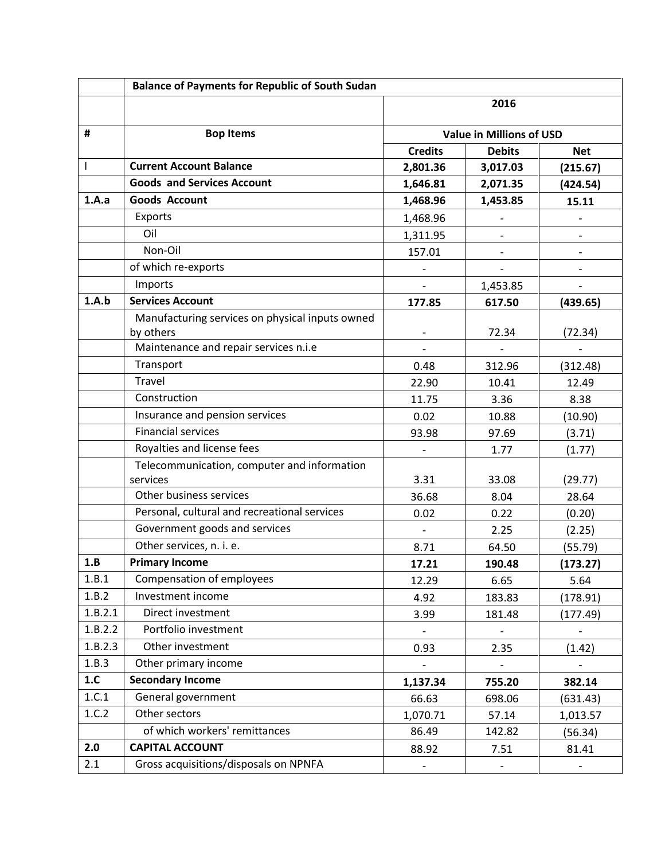|         | <b>Balance of Payments for Republic of South Sudan</b> |                                 |                          |                |
|---------|--------------------------------------------------------|---------------------------------|--------------------------|----------------|
|         |                                                        | 2016                            |                          |                |
| #       | <b>Bop Items</b>                                       | <b>Value in Millions of USD</b> |                          |                |
|         |                                                        | <b>Credits</b>                  | <b>Debits</b>            | <b>Net</b>     |
| T       | <b>Current Account Balance</b>                         | 2,801.36                        | 3,017.03                 | (215.67)       |
|         | <b>Goods and Services Account</b>                      | 1,646.81                        | 2,071.35                 | (424.54)       |
| 1.A.a   | <b>Goods Account</b>                                   | 1,468.96                        | 1,453.85                 | 15.11          |
|         | Exports                                                | 1,468.96                        |                          |                |
|         | Oil                                                    | 1,311.95                        | $\overline{\phantom{a}}$ | $\overline{a}$ |
|         | Non-Oil                                                | 157.01                          |                          |                |
|         | of which re-exports                                    |                                 | $\qquad \qquad -$        |                |
|         | Imports                                                |                                 | 1,453.85                 |                |
| 1.A.b   | <b>Services Account</b>                                | 177.85                          | 617.50                   | (439.65)       |
|         | Manufacturing services on physical inputs owned        |                                 |                          |                |
|         | by others                                              |                                 | 72.34                    | (72.34)        |
|         | Maintenance and repair services n.i.e                  |                                 |                          |                |
|         | Transport                                              | 0.48                            | 312.96                   | (312.48)       |
|         | <b>Travel</b>                                          | 22.90                           | 10.41                    | 12.49          |
|         | Construction                                           | 11.75                           | 3.36                     | 8.38           |
|         | Insurance and pension services                         | 0.02                            | 10.88                    | (10.90)        |
|         | <b>Financial services</b>                              | 93.98                           | 97.69                    | (3.71)         |
|         | Royalties and license fees                             |                                 | 1.77                     | (1.77)         |
|         | Telecommunication, computer and information            |                                 |                          |                |
|         | services                                               | 3.31                            | 33.08                    | (29.77)        |
|         | Other business services                                | 36.68                           | 8.04                     | 28.64          |
|         | Personal, cultural and recreational services           | 0.02                            | 0.22                     | (0.20)         |
|         | Government goods and services                          | $\overline{\phantom{a}}$        | 2.25                     | (2.25)         |
|         | Other services, n. i. e.                               | 8.71                            | 64.50                    | (55.79)        |
| 1.B     | <b>Primary Income</b>                                  | 17.21                           | 190.48                   | (173.27)       |
| 1.B.1   | Compensation of employees                              | 12.29                           | 6.65                     | 5.64           |
| 1.B.2   | Investment income                                      | 4.92                            | 183.83                   | (178.91)       |
| 1.B.2.1 | Direct investment                                      | 3.99                            | 181.48                   | (177.49)       |
| 1.B.2.2 | Portfolio investment                                   |                                 |                          |                |
| 1.B.2.3 | Other investment                                       | 0.93                            | 2.35                     | (1.42)         |
| 1.B.3   | Other primary income                                   |                                 |                          |                |
| 1.C     | <b>Secondary Income</b>                                | 1,137.34                        | 755.20                   | 382.14         |
| 1.C.1   | General government                                     | 66.63                           | 698.06                   | (631.43)       |
| 1.C.2   | Other sectors                                          | 1,070.71                        | 57.14                    | 1,013.57       |
|         | of which workers' remittances                          | 86.49                           | 142.82                   | (56.34)        |
| 2.0     | <b>CAPITAL ACCOUNT</b>                                 | 88.92                           | 7.51                     | 81.41          |
| 2.1     | Gross acquisitions/disposals on NPNFA                  |                                 |                          |                |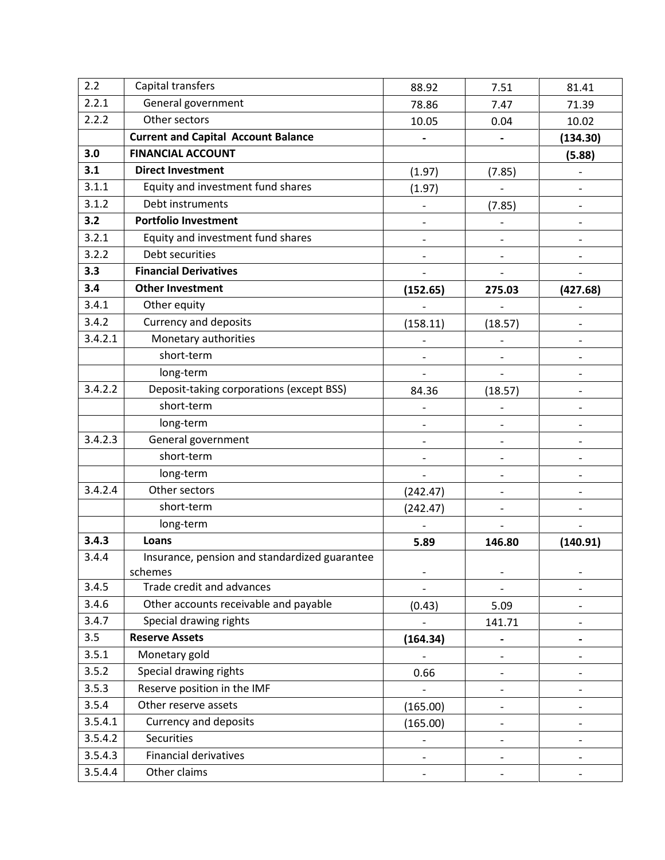| 2.2     | Capital transfers                             | 88.92                    | 7.51                         | 81.41                    |
|---------|-----------------------------------------------|--------------------------|------------------------------|--------------------------|
| 2.2.1   | General government                            | 78.86                    | 7.47                         | 71.39                    |
| 2.2.2   | Other sectors                                 | 10.05                    | 0.04                         | 10.02                    |
|         | <b>Current and Capital Account Balance</b>    |                          |                              | (134.30)                 |
| 3.0     | <b>FINANCIAL ACCOUNT</b>                      |                          |                              | (5.88)                   |
| 3.1     | <b>Direct Investment</b>                      | (1.97)                   | (7.85)                       |                          |
| 3.1.1   | Equity and investment fund shares             | (1.97)                   |                              |                          |
| 3.1.2   | Debt instruments                              |                          | (7.85)                       |                          |
| 3.2     | <b>Portfolio Investment</b>                   | $\overline{\phantom{0}}$ |                              | $\overline{\phantom{a}}$ |
| 3.2.1   | Equity and investment fund shares             | $\qquad \qquad -$        |                              |                          |
| 3.2.2   | Debt securities                               | $\overline{\phantom{a}}$ | $\qquad \qquad \blacksquare$ |                          |
| 3.3     | <b>Financial Derivatives</b>                  |                          |                              |                          |
| 3.4     | <b>Other Investment</b>                       | (152.65)                 | 275.03                       | (427.68)                 |
| 3.4.1   | Other equity                                  |                          |                              |                          |
| 3.4.2   | <b>Currency and deposits</b>                  | (158.11)                 | (18.57)                      |                          |
| 3.4.2.1 | Monetary authorities                          |                          | $\qquad \qquad -$            |                          |
|         | short-term                                    |                          | $\overline{\phantom{a}}$     |                          |
|         | long-term                                     |                          | $\overline{\phantom{a}}$     |                          |
| 3.4.2.2 | Deposit-taking corporations (except BSS)      | 84.36                    | (18.57)                      |                          |
|         | short-term                                    |                          |                              |                          |
|         | long-term                                     | $\overline{\phantom{a}}$ | $\overline{\phantom{a}}$     |                          |
| 3.4.2.3 | General government                            |                          |                              |                          |
|         | short-term                                    | $\overline{\phantom{a}}$ | $\overline{\phantom{a}}$     | $\overline{\phantom{a}}$ |
|         | long-term                                     |                          | $\overline{\phantom{a}}$     |                          |
| 3.4.2.4 | Other sectors                                 | (242.47)                 | $\overline{\phantom{a}}$     |                          |
|         | short-term                                    | (242.47)                 | $\overline{a}$               |                          |
|         | long-term                                     |                          |                              |                          |
| 3.4.3   | Loans                                         | 5.89                     | 146.80                       | (140.91)                 |
| 3.4.4   | Insurance, pension and standardized guarantee |                          |                              |                          |
|         | schemes                                       |                          |                              |                          |
| 3.4.5   | Trade credit and advances                     |                          |                              |                          |
| 3.4.6   | Other accounts receivable and payable         | (0.43)                   | 5.09                         |                          |
| 3.4.7   | Special drawing rights                        |                          | 141.71                       |                          |
| 3.5     | <b>Reserve Assets</b>                         | (164.34)                 | $\qquad \qquad \blacksquare$ |                          |
| 3.5.1   | Monetary gold                                 |                          |                              |                          |
| 3.5.2   | Special drawing rights                        | 0.66                     | $\qquad \qquad \blacksquare$ |                          |
| 3.5.3   | Reserve position in the IMF                   |                          | $\overline{\phantom{a}}$     |                          |
| 3.5.4   | Other reserve assets                          | (165.00)                 | $\overline{\phantom{a}}$     |                          |
| 3.5.4.1 | Currency and deposits                         | (165.00)                 | $\overline{\phantom{a}}$     |                          |
| 3.5.4.2 | <b>Securities</b>                             |                          | $\overline{\phantom{a}}$     |                          |
| 3.5.4.3 | <b>Financial derivatives</b>                  | $\overline{a}$           | $\qquad \qquad \blacksquare$ |                          |
| 3.5.4.4 | Other claims                                  |                          |                              |                          |